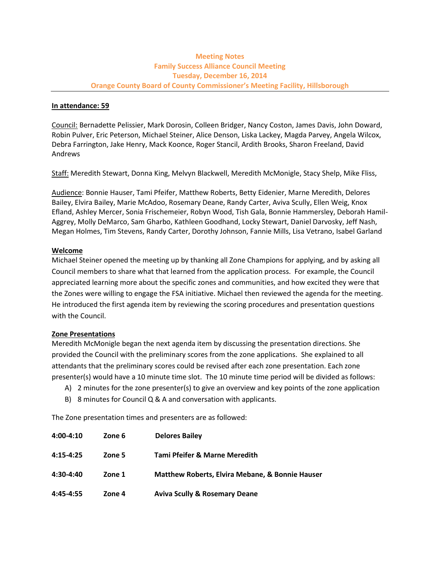# **Meeting Notes Family Success Alliance Council Meeting Tuesday, December 16, 2014 Orange County Board of County Commissioner's Meeting Facility, Hillsborough**

### **In attendance: 59**

Council: Bernadette Pelissier, Mark Dorosin, Colleen Bridger, Nancy Coston, James Davis, John Doward, Robin Pulver, Eric Peterson, Michael Steiner, Alice Denson, Liska Lackey, Magda Parvey, Angela Wilcox, Debra Farrington, Jake Henry, Mack Koonce, Roger Stancil, Ardith Brooks, Sharon Freeland, David Andrews

Staff: Meredith Stewart, Donna King, Melvyn Blackwell, Meredith McMonigle, Stacy Shelp, Mike Fliss,

Audience: Bonnie Hauser, Tami Pfeifer, Matthew Roberts, Betty Eidenier, Marne Meredith, Delores Bailey, Elvira Bailey, Marie McAdoo, Rosemary Deane, Randy Carter, Aviva Scully, Ellen Weig, Knox Efland, Ashley Mercer, Sonia Frischemeier, Robyn Wood, Tish Gala, Bonnie Hammersley, Deborah Hamil-Aggrey, Molly DeMarco, Sam Gharbo, Kathleen Goodhand, Locky Stewart, Daniel Darvosky, Jeff Nash, Megan Holmes, Tim Stevens, Randy Carter, Dorothy Johnson, Fannie Mills, Lisa Vetrano, Isabel Garland

# **Welcome**

Michael Steiner opened the meeting up by thanking all Zone Champions for applying, and by asking all Council members to share what that learned from the application process. For example, the Council appreciated learning more about the specific zones and communities, and how excited they were that the Zones were willing to engage the FSA initiative. Michael then reviewed the agenda for the meeting. He introduced the first agenda item by reviewing the scoring procedures and presentation questions with the Council.

# **Zone Presentations**

Meredith McMonigle began the next agenda item by discussing the presentation directions. She provided the Council with the preliminary scores from the zone applications. She explained to all attendants that the preliminary scores could be revised after each zone presentation. Each zone presenter(s) would have a 10 minute time slot. The 10 minute time period will be divided as follows:

- A) 2 minutes for the zone presenter(s) to give an overview and key points of the zone application
- B) 8 minutes for Council Q & A and conversation with applicants.

The Zone presentation times and presenters are as followed:

| $4:00 - 4:10$ | Zone 6 | <b>Delores Bailey</b>                                      |
|---------------|--------|------------------------------------------------------------|
| $4:15 - 4:25$ | Zone 5 | Tami Pfeifer & Marne Meredith                              |
| $4:30-4:40$   | Zone 1 | <b>Matthew Roberts, Elvira Mebane, &amp; Bonnie Hauser</b> |
| $4:45-4:55$   | Zone 4 | <b>Aviva Scully &amp; Rosemary Deane</b>                   |